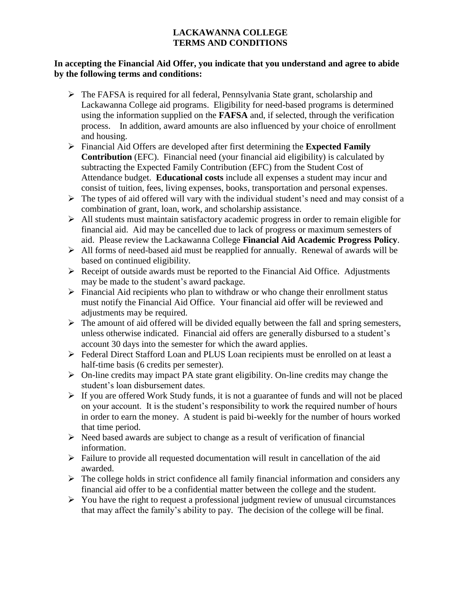## **LACKAWANNA COLLEGE TERMS AND CONDITIONS**

## **In accepting the Financial Aid Offer, you indicate that you understand and agree to abide by the following terms and conditions:**

- $\triangleright$  The FAFSA is required for all federal, Pennsylvania State grant, scholarship and Lackawanna College aid programs. Eligibility for need-based programs is determined using the information supplied on the **FAFSA** and, if selected, through the verification process. In addition, award amounts are also influenced by your choice of enrollment and housing.
- Financial Aid Offers are developed after first determining the **Expected Family Contribution** (EFC). Financial need (your financial aid eligibility) is calculated by subtracting the Expected Family Contribution (EFC) from the Student Cost of Attendance budget. **Educational costs** include all expenses a student may incur and consist of tuition, fees, living expenses, books, transportation and personal expenses.
- $\triangleright$  The types of aid offered will vary with the individual student's need and may consist of a combination of grant, loan, work, and scholarship assistance.
- $\triangleright$  All students must maintain satisfactory academic progress in order to remain eligible for financial aid. Aid may be cancelled due to lack of progress or maximum semesters of aid. Please review the Lackawanna College **Financial Aid Academic Progress Policy**.
- $\triangleright$  All forms of need-based aid must be reapplied for annually. Renewal of awards will be based on continued eligibility.
- $\triangleright$  Receipt of outside awards must be reported to the Financial Aid Office. Adjustments may be made to the student's award package.
- $\triangleright$  Financial Aid recipients who plan to withdraw or who change their enrollment status must notify the Financial Aid Office. Your financial aid offer will be reviewed and adjustments may be required.
- $\triangleright$  The amount of aid offered will be divided equally between the fall and spring semesters, unless otherwise indicated. Financial aid offers are generally disbursed to a student's account 30 days into the semester for which the award applies.
- Federal Direct Stafford Loan and PLUS Loan recipients must be enrolled on at least a half-time basis (6 credits per semester).
- $\triangleright$  On-line credits may impact PA state grant eligibility. On-line credits may change the student's loan disbursement dates.
- $\triangleright$  If you are offered Work Study funds, it is not a guarantee of funds and will not be placed on your account. It is the student's responsibility to work the required number of hours in order to earn the money. A student is paid bi-weekly for the number of hours worked that time period.
- $\triangleright$  Need based awards are subject to change as a result of verification of financial information.
- $\triangleright$  Failure to provide all requested documentation will result in cancellation of the aid awarded.
- $\triangleright$  The college holds in strict confidence all family financial information and considers any financial aid offer to be a confidential matter between the college and the student.
- $\triangleright$  You have the right to request a professional judgment review of unusual circumstances that may affect the family's ability to pay. The decision of the college will be final.